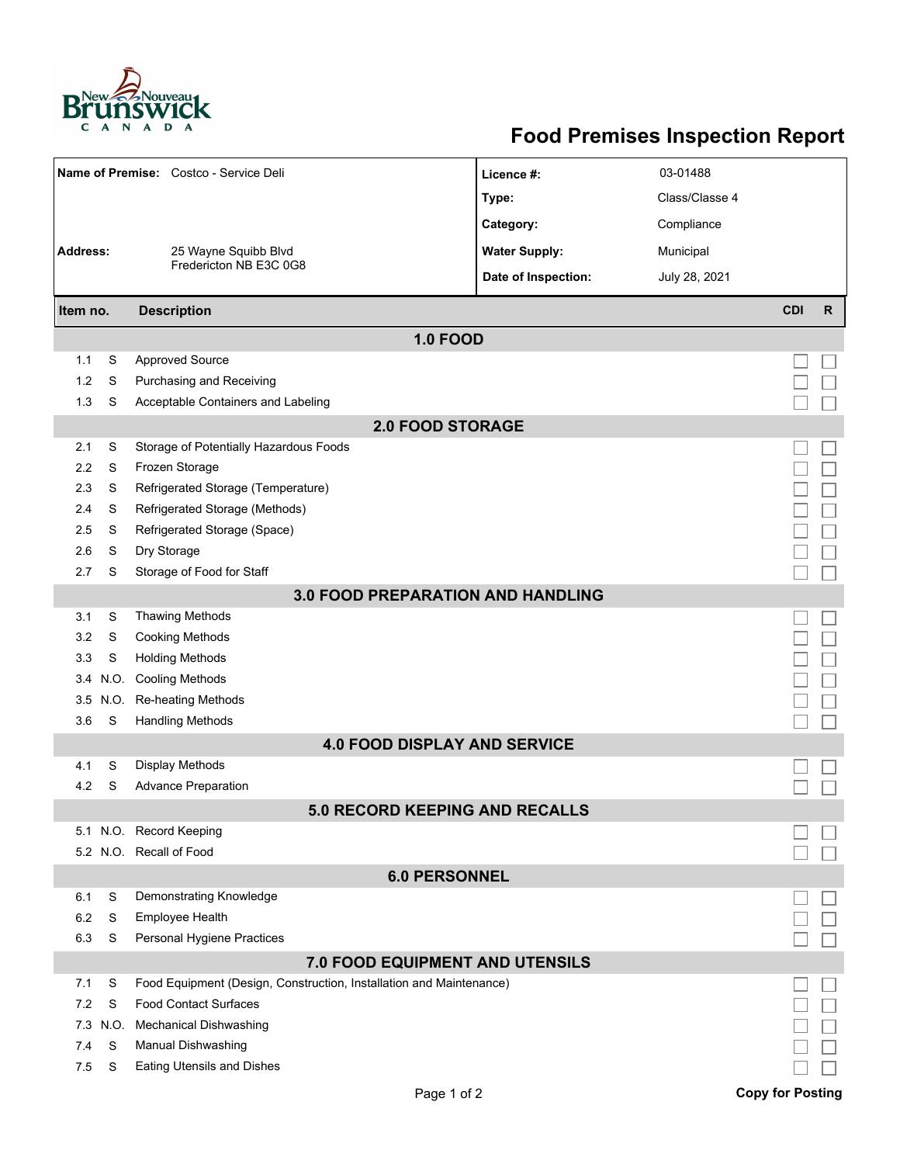

## **Food Premises Inspection Report**

| Name of Premise: Costco - Service Deli   |      |                                                                     | Licence #:                            | 03-01488       |                         |              |  |  |  |
|------------------------------------------|------|---------------------------------------------------------------------|---------------------------------------|----------------|-------------------------|--------------|--|--|--|
|                                          |      |                                                                     | Type:                                 | Class/Classe 4 |                         |              |  |  |  |
|                                          |      |                                                                     | Category:                             | Compliance     |                         |              |  |  |  |
| <b>Address:</b>                          |      | 25 Wayne Squibb Blvd                                                | <b>Water Supply:</b>                  | Municipal      |                         |              |  |  |  |
|                                          |      | Fredericton NB E3C 0G8                                              | Date of Inspection:                   | July 28, 2021  |                         |              |  |  |  |
|                                          |      |                                                                     |                                       |                |                         |              |  |  |  |
| Item no.                                 |      | <b>Description</b>                                                  |                                       |                | <b>CDI</b>              | $\mathsf{R}$ |  |  |  |
|                                          |      |                                                                     | <b>1.0 FOOD</b>                       |                |                         |              |  |  |  |
| 1.1                                      | S    | <b>Approved Source</b>                                              |                                       |                |                         |              |  |  |  |
| 1.2                                      | S    | Purchasing and Receiving                                            |                                       |                |                         |              |  |  |  |
| 1.3                                      | S    | Acceptable Containers and Labeling                                  |                                       |                |                         |              |  |  |  |
| <b>2.0 FOOD STORAGE</b>                  |      |                                                                     |                                       |                |                         |              |  |  |  |
| 2.1                                      | S    | Storage of Potentially Hazardous Foods                              |                                       |                |                         |              |  |  |  |
| 2.2                                      | S    | Frozen Storage                                                      |                                       |                |                         |              |  |  |  |
| 2.3                                      | S    | Refrigerated Storage (Temperature)                                  |                                       |                |                         |              |  |  |  |
| 2.4                                      | S    | Refrigerated Storage (Methods)                                      |                                       |                |                         |              |  |  |  |
| 2.5                                      | S    | Refrigerated Storage (Space)                                        |                                       |                |                         |              |  |  |  |
| 2.6                                      | S    | Dry Storage                                                         |                                       |                |                         |              |  |  |  |
| 2.7                                      | S    | Storage of Food for Staff                                           |                                       |                |                         |              |  |  |  |
| <b>3.0 FOOD PREPARATION AND HANDLING</b> |      |                                                                     |                                       |                |                         |              |  |  |  |
| 3.1                                      | S    | <b>Thawing Methods</b>                                              |                                       |                |                         |              |  |  |  |
| 3.2                                      | S    | <b>Cooking Methods</b>                                              |                                       |                |                         |              |  |  |  |
| 3.3                                      | S    | <b>Holding Methods</b>                                              |                                       |                |                         |              |  |  |  |
| 3.4                                      | N.O. | <b>Cooling Methods</b>                                              |                                       |                |                         |              |  |  |  |
| 3.5                                      | N.O. | <b>Re-heating Methods</b>                                           |                                       |                |                         |              |  |  |  |
| 3.6                                      | S    | <b>Handling Methods</b>                                             |                                       |                |                         |              |  |  |  |
|                                          |      |                                                                     | <b>4.0 FOOD DISPLAY AND SERVICE</b>   |                |                         |              |  |  |  |
| 4.1                                      | S    | Display Methods                                                     |                                       |                |                         |              |  |  |  |
| 4.2                                      | S    | <b>Advance Preparation</b>                                          |                                       |                |                         |              |  |  |  |
|                                          |      |                                                                     | <b>5.0 RECORD KEEPING AND RECALLS</b> |                |                         |              |  |  |  |
|                                          |      | 5.1 N.O. Record Keeping                                             |                                       |                |                         |              |  |  |  |
|                                          |      | 5.2 N.O. Recall of Food                                             |                                       |                |                         |              |  |  |  |
| <b>6.0 PERSONNEL</b>                     |      |                                                                     |                                       |                |                         |              |  |  |  |
| 6.1                                      | S    | Demonstrating Knowledge                                             |                                       |                |                         |              |  |  |  |
| 6.2                                      | S    | Employee Health                                                     |                                       |                |                         |              |  |  |  |
| 6.3                                      | S    | Personal Hygiene Practices                                          |                                       |                |                         |              |  |  |  |
| 7.0 FOOD EQUIPMENT AND UTENSILS          |      |                                                                     |                                       |                |                         |              |  |  |  |
| 7.1                                      | S    | Food Equipment (Design, Construction, Installation and Maintenance) |                                       |                |                         |              |  |  |  |
| 7.2                                      | S    | <b>Food Contact Surfaces</b>                                        |                                       |                |                         |              |  |  |  |
| 7.3                                      | N.O. | <b>Mechanical Dishwashing</b>                                       |                                       |                |                         |              |  |  |  |
| 7.4                                      | S    | Manual Dishwashing                                                  |                                       |                |                         |              |  |  |  |
| 7.5                                      | S    | <b>Eating Utensils and Dishes</b>                                   |                                       |                |                         |              |  |  |  |
|                                          |      |                                                                     | Page 1 of 2                           |                | <b>Copy for Posting</b> |              |  |  |  |